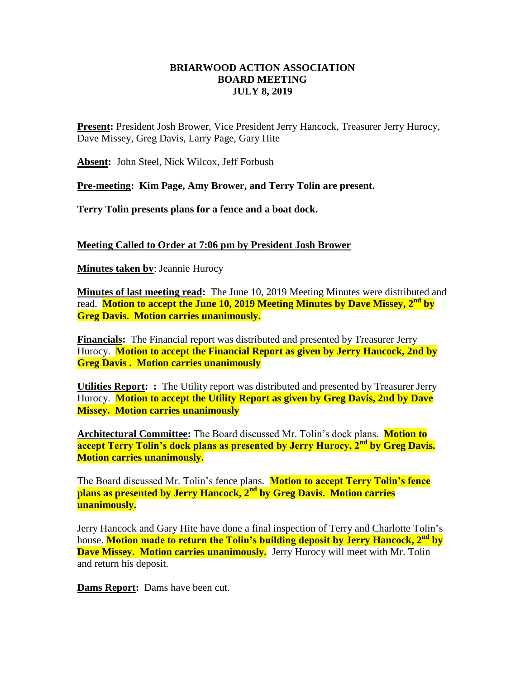## **BRIARWOOD ACTION ASSOCIATION BOARD MEETING JULY 8, 2019**

**Present:** President Josh Brower, Vice President Jerry Hancock, Treasurer Jerry Hurocy, Dave Missey, Greg Davis, Larry Page, Gary Hite

**Absent:** John Steel, Nick Wilcox, Jeff Forbush

**Pre-meeting: Kim Page, Amy Brower, and Terry Tolin are present.**

**Terry Tolin presents plans for a fence and a boat dock.** 

**Meeting Called to Order at 7:06 pm by President Josh Brower**

**Minutes taken by**: Jeannie Hurocy

**Minutes of last meeting read:** The June 10, 2019 Meeting Minutes were distributed and read. **Motion to accept the June 10, 2019 Meeting Minutes by Dave Missey, 2nd by Greg Davis. Motion carries unanimously.**

**Financials:** The Financial report was distributed and presented by Treasurer Jerry Hurocy. **Motion to accept the Financial Report as given by Jerry Hancock, 2nd by Greg Davis . Motion carries unanimously** 

**Utilities Report: :** The Utility report was distributed and presented by Treasurer Jerry Hurocy. **Motion to accept the Utility Report as given by Greg Davis, 2nd by Dave Missey. Motion carries unanimously** 

**Architectural Committee:** The Board discussed Mr. Tolin's dock plans. **Motion to accept Terry Tolin's dock plans as presented by Jerry Hurocy, 2nd by Greg Davis. Motion carries unanimously.**

The Board discussed Mr. Tolin's fence plans. **Motion to accept Terry Tolin's fence plans as presented by Jerry Hancock, 2nd by Greg Davis. Motion carries unanimously.**

Jerry Hancock and Gary Hite have done a final inspection of Terry and Charlotte Tolin's house. **Motion made to return the Tolin's building deposit by Jerry Hancock, 2nd by Dave Missey. Motion carries unanimously.** Jerry Hurocy will meet with Mr. Tolin and return his deposit.

**Dams Report:** Dams have been cut.